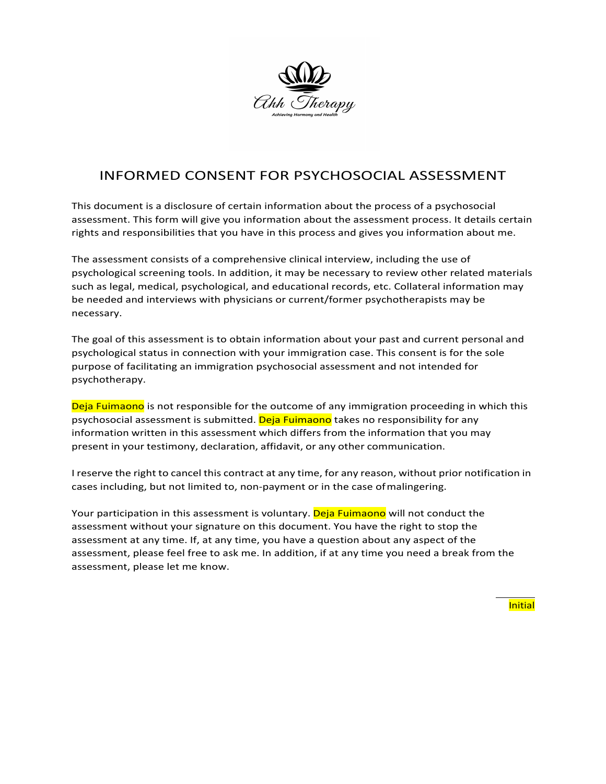

# INFORMED CONSENT FOR PSYCHOSOCIAL ASSESSMENT

This document is a disclosure of certain information about the process of a psychosocial assessment. This form will give you information about the assessment process. It details certain rights and responsibilities that you have in this process and gives you information about me.

The assessment consists of a comprehensive clinical interview, including the use of psychological screening tools. In addition, it may be necessary to review other related materials such as legal, medical, psychological, and educational records, etc. Collateral information may be needed and interviews with physicians or current/former psychotherapists may be necessary.

The goal of this assessment is to obtain information about your past and current personal and psychological status in connection with your immigration case. This consent is for the sole purpose of facilitating an immigration psychosocial assessment and not intended for psychotherapy.

Deja Fuimaono is not responsible for the outcome of any immigration proceeding in which this psychosocial assessment is submitted. Deja Fuimaono takes no responsibility for any information written in this assessment which differs from the information that you may present in your testimony, declaration, affidavit, or any other communication.

I reserve the right to cancel this contract at any time, for any reason, without prior notification in cases including, but not limited to, non-payment or in the case ofmalingering.

Your participation in this assessment is voluntary. Deja Fuimaono will not conduct the assessment without your signature on this document. You have the right to stop the assessment at any time. If, at any time, you have a question about any aspect of the assessment, please feel free to ask me. In addition, if at any time you need a break from the assessment, please let me know.

Initial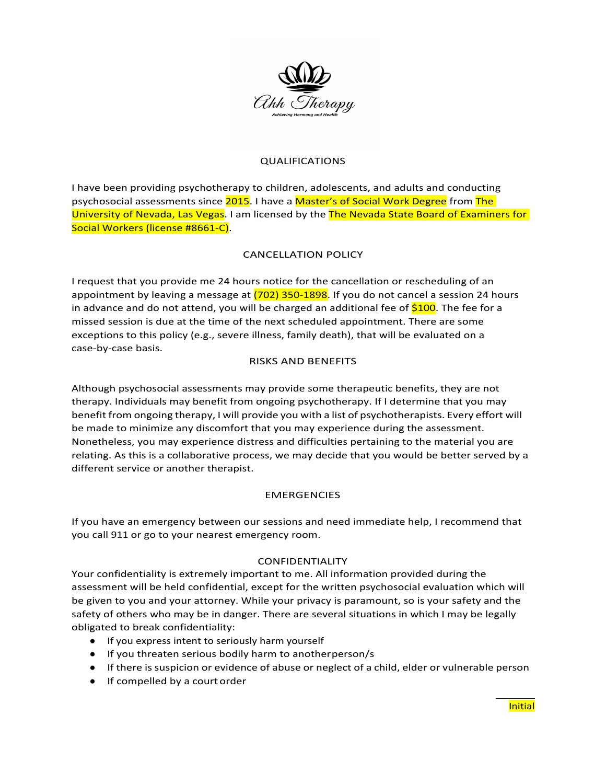

### QUALIFICATIONS

I have been providing psychotherapy to children, adolescents, and adults and conducting psychosocial assessments since 2015. I have a Master's of Social Work Degree from The University of Nevada, Las Vegas. I am licensed by the The Nevada State Board of Examiners for Social Workers (license #8661-C).

## CANCELLATION POLICY

I request that you provide me 24 hours notice for the cancellation or rescheduling of an appointment by leaving a message at (702) 350-1898. If you do not cancel a session 24 hours in advance and do not attend, you will be charged an additional fee of \$100. The fee for a missed session is due at the time of the next scheduled appointment. There are some exceptions to this policy (e.g., severe illness, family death), that will be evaluated on a case-by-case basis.

#### RISKS AND BENEFITS

Although psychosocial assessments may provide some therapeutic benefits, they are not therapy. Individuals may benefit from ongoing psychotherapy. If I determine that you may benefit from ongoing therapy, I will provide you with a list of psychotherapists. Every effort will be made to minimize any discomfort that you may experience during the assessment. Nonetheless, you may experience distress and difficulties pertaining to the material you are relating. As this is a collaborative process, we may decide that you would be better served by a different service or another therapist.

#### **EMERGENCIES**

If you have an emergency between our sessions and need immediate help, I recommend that you call 911 or go to your nearest emergency room.

#### CONFIDENTIALITY

Your confidentiality is extremely important to me. All information provided during the assessment will be held confidential, except for the written psychosocial evaluation which will be given to you and your attorney. While your privacy is paramount, so is your safety and the safety of others who may be in danger. There are several situations in which I may be legally obligated to break confidentiality:

- If you express intent to seriously harm yourself
- If you threaten serious bodily harm to anotherperson/s
- If there is suspicion or evidence of abuse or neglect of a child, elder or vulnerable person
- If compelled by a court order